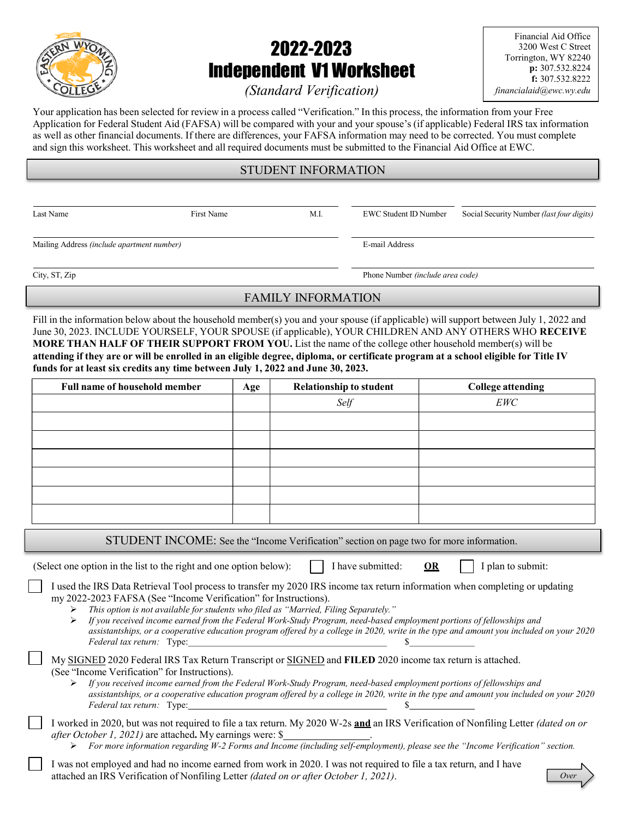

# 2022-2023 Independent V1 Worksheet

Financial Aid Office 3200 West C Street Torrington, WY 82240 p: 307.532.8224 f: 307.532.8222 financialaid@ewc.wy.edu

# (Standard Verification)

Your application has been selected for review in a process called "Verification." In this process, the information from your Free Application for Federal Student Aid (FAFSA) will be compared with your and your spouse's (if applicable) Federal IRS tax information as well as other financial documents. If there are differences, your FAFSA information may need to be corrected. You must complete and sign this worksheet. This worksheet and all required documents must be submitted to the Financial Aid Office at EWC.

# STUDENT INFORMATION

Last Name First Name First Name M.I. EWC Student ID Number Social Security Number (last four digits)

Mailing Address (include apartment number) E-mail Address

City, ST, Zip Phone Number *(include area code)* 

## FAMILY INFORMATION

Fill in the information below about the household member(s) you and your spouse (if applicable) will support between July 1, 2022 and June 30, 2023. INCLUDE YOURSELF, YOUR SPOUSE (if applicable), YOUR CHILDREN AND ANY OTHERS WHO RECEIVE MORE THAN HALF OF THEIR SUPPORT FROM YOU. List the name of the college other household member(s) will be attending if they are or will be enrolled in an eligible degree, diploma, or certificate program at a school eligible for Title IV funds for at least six credits any time between July 1, 2022 and June 30, 2023.

| <b>Full name of household member</b> | Age | <b>Relationship to student</b>                                                                                                                                                                                                                                                                                                       | <b>College attending</b>                   |
|--------------------------------------|-----|--------------------------------------------------------------------------------------------------------------------------------------------------------------------------------------------------------------------------------------------------------------------------------------------------------------------------------------|--------------------------------------------|
|                                      |     | Self                                                                                                                                                                                                                                                                                                                                 | EWC                                        |
|                                      |     |                                                                                                                                                                                                                                                                                                                                      |                                            |
|                                      |     |                                                                                                                                                                                                                                                                                                                                      |                                            |
|                                      |     |                                                                                                                                                                                                                                                                                                                                      |                                            |
|                                      |     |                                                                                                                                                                                                                                                                                                                                      |                                            |
|                                      |     |                                                                                                                                                                                                                                                                                                                                      |                                            |
|                                      |     |                                                                                                                                                                                                                                                                                                                                      |                                            |
|                                      |     | CTIDEMT IMONIE, $\alpha$ at $\alpha$ is $\alpha$ is $\alpha$ in $\alpha$ is $\alpha$ is $\alpha$ is $\alpha$ is $\alpha$ is $\alpha$ is $\alpha$ is $\alpha$ is $\alpha$ is $\alpha$ is $\alpha$ is $\alpha$ is $\alpha$ is $\alpha$ is $\alpha$ is $\alpha$ is $\alpha$ is $\alpha$ is $\alpha$ is $\alpha$ is $\alpha$ is $\alpha$ | $\mathcal{L}$ . The state of $\mathcal{L}$ |

STUDENT INCOME: See the "Income Verification" section on page two for more information.

(Select one option in the list to the right and one option below):  $\parallel$  I have submitted: OR  $\parallel$  I plan to submit:

I used the IRS Data Retrieval Tool process to transfer my 2020 IRS income tax return information when completing or updating my 2022-2023 FAFSA (See "Income Verification" for Instructions). This option is not available for students who filed as "Married, Filing Separately."

 If you received income earned from the Federal Work-Study Program, need-based employment portions of fellowships and assistantships, or a cooperative education program offered by a college in 2020, write in the type and amount you included on your 2020  $Federal$  tax return: Type:  $\frac{1}{2}$  Type:  $\frac{1}{2}$  Type:  $\frac{1}{2}$  Type:  $\frac{1}{2}$  Type:  $\frac{1}{2}$  Type:  $\frac{1}{2}$  Type:  $\frac{1}{2}$  Type:  $\frac{1}{2}$  Type:  $\frac{1}{2}$  Type:  $\frac{1}{2}$  Type:  $\frac{1}{2}$  Type:  $\frac{1}{2}$  Type:  $\frac{1}{$ 

| My SIGNED 2020 Federal IRS Tax Return Transcript or SIGNED and FILED 2020 income tax return is attached. |  |  |
|----------------------------------------------------------------------------------------------------------|--|--|
| (See "Income Verification" for Instructions).                                                            |  |  |

 If you received income earned from the Federal Work-Study Program, need-based employment portions of fellowships and assistantships, or a cooperative education program offered by a college in 2020, write in the type and amount you included on your 2020 Federal tax return: Type: \$

I worked in 2020, but was not required to file a tax return. My 2020 W-2s and an IRS Verification of Nonfiling Letter (dated on or after October 1, 2021) are attached. My earnings were: \$ .

For more information regarding W-2 Forms and Income (including self-employment), please see the "Income Verification" section.

I was not employed and had no income earned from work in 2020. I was not required to file a tax return, and I have attached an IRS Verification of Nonfiling Letter (dated on or after October 1, 2021).